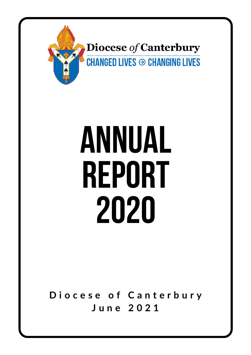

# ANNUAL REPORT 2020

**D i o c e s e o f C a n t e r b u r y J u n e 2 0 2 1**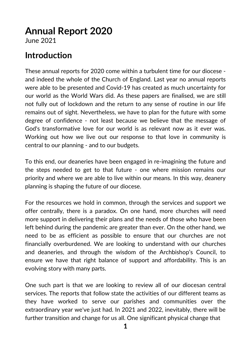# **Annual Report 2020**

June 2021

# **Introduction**

These annual reports for 2020 come within a turbulent time for our diocese and indeed the whole of the Church of England. Last year no annual reports were able to be presented and Covid-19 has created as much uncertainty for our world as the World Wars did. As these papers are finalised, we are still not fully out of lockdown and the return to any sense of routine in our life remains out of sight. Nevertheless, we have to plan for the future with some degree of confidence - not least because we believe that the message of God's transformative love for our world is as relevant now as it ever was. Working out how we live out our response to that love in community is central to our planning - and to our budgets.

To this end, our deaneries have been engaged in re-imagining the future and the steps needed to get to that future - one where mission remains our priority and where we are able to live within our means. In this way, deanery planning is shaping the future of our diocese.

For the resources we hold in common, through the services and support we offer centrally, there is a paradox. On one hand, more churches will need more support in delivering their plans and the needs of those who have been left behind during the pandemic are greater than ever. On the other hand, we need to be as efficient as possible to ensure that our churches are not financially overburdened. We are looking to understand with our churches and deaneries, and through the wisdom of the Archbishop's Council, to ensure we have that right balance of support and affordability. This is an evolving story with many parts.

One such part is that we are looking to review all of our diocesan central services. The reports that follow state the activities of our different teams as they have worked to serve our parishes and communities over the extraordinary year we've just had. In 2021 and 2022, inevitably, there will be further transition and change for us all. One significant physical change that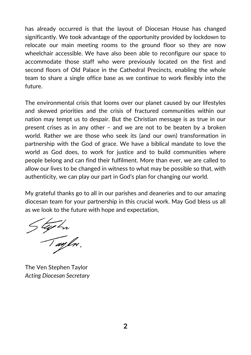has already occurred is that the layout of Diocesan House has changed significantly. We took advantage of the opportunity provided by lockdown to relocate our main meeting rooms to the ground floor so they are now wheelchair accessible. We have also been able to reconfigure our space to accommodate those staff who were previously located on the first and second floors of Old Palace in the Cathedral Precincts, enabling the whole team to share a single office base as we continue to work flexibly into the future.

The environmental crisis that looms over our planet caused by our lifestyles and skewed priorities and the crisis of fractured communities within our nation may tempt us to despair. But the Christian message is as true in our present crises as in any other – and we are not to be beaten by a broken world. Rather we are those who seek its (and our own) transformation in partnership with the God of grace. We have a biblical mandate to love the world as God does, to work for justice and to build communities where people belong and can find their fulfilment. More than ever, we are called to allow our lives to be changed in witness to what may be possible so that, with authenticity, we can play our part in God's plan for changing our world.

My grateful thanks go to all in our parishes and deaneries and to our amazing diocesan team for your partnership in this crucial work. May God bless us all as we look to the future with hope and expectation,

Stephen<br>Taylor.

The Ven Stephen Taylor *Acting Diocesan Secretary*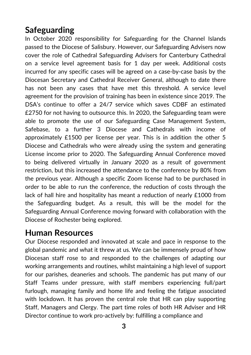# **Safeguarding**

In October 2020 responsibility for Safeguarding for the Channel Islands passed to the Diocese of Salisbury. However, our Safeguarding Advisers now cover the role of Cathedral Safeguarding Advisers for Canterbury Cathedral on a service level agreement basis for 1 day per week. Additional costs incurred for any specific cases will be agreed on a case-by-case basis by the Diocesan Secretary and Cathedral Receiver General, although to date there has not been any cases that have met this threshold. A service level agreement for the provision of training has been in existence since 2019. The DSA's continue to offer a 24/7 service which saves CDBF an estimated £2750 for not having to outsource this. In 2020, the Safeguarding team were able to promote the use of our Safeguarding Case Management System, Safebase, to a further 3 Diocese and Cathedrals with income of approximately £1500 per license per year. This is in addition the other 5 Diocese and Cathedrals who were already using the system and generating License income prior to 2020. The Safeguarding Annual Conference moved to being delivered virtually in January 2020 as a result of government restriction, but this increased the attendance to the conference by 80% from the previous year. Although a specific Zoom license had to be purchased in order to be able to run the conference, the reduction of costs through the lack of hall hire and hospitality has meant a reduction of nearly £1000 from the Safeguarding budget. As a result, this will be the model for the Safeguarding Annual Conference moving forward with collaboration with the Diocese of Rochester being explored.

## **Human Resources**

Our Diocese responded and innovated at scale and pace in response to the global pandemic and what it threw at us. We can be immensely proud of how Diocesan staff rose to and responded to the challenges of adapting our working arrangements and routines, whilst maintaining a high level of support for our parishes, deaneries and schools. The pandemic has put many of our Staff Teams under pressure, with staff members experiencing full/part furlough, managing family and home life and feeling the fatigue associated with lockdown. It has proven the central role that HR can play supporting Staff, Managers and Clergy. The part time roles of both HR Adviser and HR Director continue to work pro-actively by: fulfilling a compliance and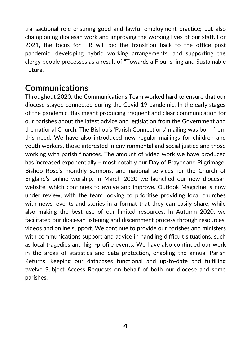transactional role ensuring good and lawful employment practice; but also championing diocesan work and improving the working lives of our staff. For 2021, the focus for HR will be: the transition back to the office post pandemic; developing hybrid working arrangements; and supporting the clergy people processes as a result of "Towards a Flourishing and Sustainable Future.

## **Communications**

Throughout 2020, the Communications Team worked hard to ensure that our diocese stayed connected during the Covid-19 pandemic. In the early stages of the pandemic, this meant producing frequent and clear communication for our parishes about the latest advice and legislation from the Government and the national Church. The Bishop's 'Parish Connections' mailing was born from this need. We have also introduced new regular mailings for children and youth workers, those interested in environmental and social justice and those working with parish finances. The amount of video work we have produced has increased exponentially – most notably our Day of Prayer and Pilgrimage, Bishop Rose's monthly sermons, and national services for the Church of England's online worship. In March 2020 we launched our new diocesan website, which continues to evolve and improve. Outlook Magazine is now under review, with the team looking to prioritise providing local churches with news, events and stories in a format that they can easily share, while also making the best use of our limited resources. In Autumn 2020, we facilitated our diocesan listening and discernment process through resources, videos and online support. We continue to provide our parishes and ministers with communications support and advice in handling difficult situations, such as local tragedies and high-profile events. We have also continued our work in the areas of statistics and data protection, enabling the annual Parish Returns, keeping our databases functional and up-to-date and fulfilling twelve Subject Access Requests on behalf of both our diocese and some parishes.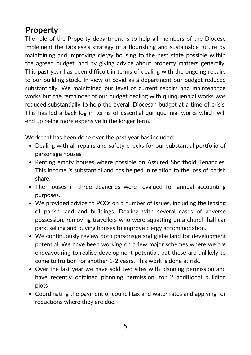# **Property**

The role of the Property department is to help all members of the Diocese implement the Diocese's strategy of a flourishing and sustainable future by maintaining and improving clergy housing to the best state possible within the agreed budget, and by giving advice about property matters generally. This past year has been difficult in terms of dealing with the ongoing repairs to our building stock. In view of covid as a department our budget reduced substantially. We maintained our level of current repairs and maintenance works but the remainder of our budget dealing with quinquennial works was reduced substantially to help the overall Diocesan budget at a time of crisis. This has led a back log in terms of essential quinquennial works which will end up being more expensive in the longer term.

Work that has been done over the past year has included:

- Dealing with all repairs and safety checks for our substantial portfolio of parsonage houses
- Renting empty houses where possible on Assured Shorthold Tenancies. This income is substantial and has helped in relation to the loss of parish share.
- The houses in three deaneries were revalued for annual accounting purposes.
- We provided advice to PCCs on a number of issues, including the leasing of parish land and buildings. Dealing with several cases of adverse possession, removing travellers who were squatting on a church hall car park, selling and buying houses to improve clergy accommodation.
- We continuously review both parsonage and glebe land for development potential. We have been working on a few major schemes where we are endeavouring to realise development potential, but these are unlikely to come to fruition for another 1-2 years. This work is done at risk.
- Over the last year we have sold two sites with planning permission and have recently obtained planning permission. for 2 additional building plots
- Coordinating the payment of council tax and water rates and applying for reductions where they are due.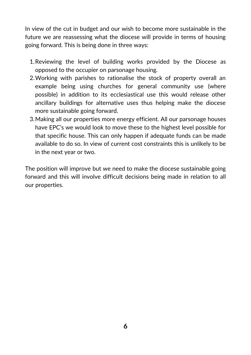In view of the cut in budget and our wish to become more sustainable in the future we are reassessing what the diocese will provide in terms of housing going forward. This is being done in three ways:

- 1. Reviewing the level of building works provided by the Diocese as opposed to the occupier on parsonage housing.
- Working with parishes to rationalise the stock of property overall an 2. example being using churches for general community use (where possible) in addition to its ecclesiastical use this would release other ancillary buildings for alternative uses thus helping make the diocese more sustainable going forward.
- Making all our properties more energy efficient. All our parsonage houses 3. have EPC's we would look to move these to the highest level possible for that specific house. This can only happen if adequate funds can be made available to do so. In view of current cost constraints this is unlikely to be in the next year or two.

The position will improve but we need to make the diocese sustainable going forward and this will involve difficult decisions being made in relation to all our properties.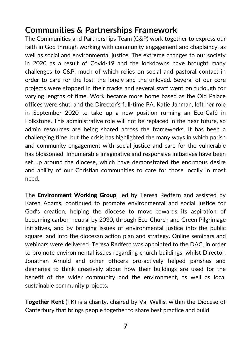## **Communities & Partnerships Framework**

The Communities and Partnerships Team (C&P) work together to express our faith in God through working with community engagement and chaplaincy, as well as social and environmental justice. The extreme changes to our society in 2020 as a result of Covid-19 and the lockdowns have brought many challenges to C&P, much of which relies on social and pastoral contact in order to care for the lost, the lonely and the unloved. Several of our core projects were stopped in their tracks and several staff went on furlough for varying lengths of time. Work became more home based as the Old Palace offices were shut, and the Director's full-time PA, Katie Janman, left her role in September 2020 to take up a new position running an Eco-Café in Folkstone. This administrative role will not be replaced in the near future, so admin resources are being shared across the frameworks. It has been a challenging time, but the crisis has highlighted the many ways in which parish and community engagement with social justice and care for the vulnerable has blossomed. Innumerable imaginative and responsive initiatives have been set up around the diocese, which have demonstrated the enormous desire and ability of our Christian communities to care for those locally in most need.

The **Environment Working Group**, led by Teresa Redfern and assisted by Karen Adams, continued to promote environmental and social justice for God's creation, helping the diocese to move towards its aspiration of becoming carbon neutral by 2030, through Eco-Church and Green Pilgrimage initiatives, and by bringing issues of environmental justice into the public square, and into the diocesan action plan and strategy. Online seminars and webinars were delivered. Teresa Redfern was appointed to the DAC, in order to promote environmental issues regarding church buildings, whilst Director, Jonathan Arnold and other officers pro-actively helped parishes and deaneries to think creatively about how their buildings are used for the benefit of the wider community and the environment, as well as local sustainable community projects.

**Together Kent** (TK) is a charity, chaired by Val Wallis, within the Diocese of Canterbury that brings people together to share best practice and build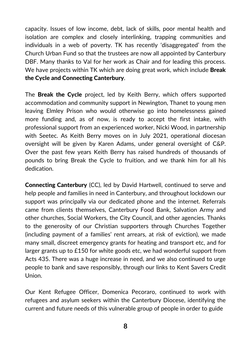capacity. Issues of low income, debt, lack of skills, poor mental health and isolation are complex and closely interlinking, trapping communities and individuals in a web of poverty. TK has recently 'disaggregated' from the Church Urban Fund so that the trustees are now all appointed by Canterbury DBF. Many thanks to Val for her work as Chair and for leading this process. We have projects within TK which are doing great work, which include **Break** the Cycle and Connecting Canterbury.

The **Break the Cycle** project, led by Keith Berry, which offers supported accommodation and community support in Newington, Thanet to young men leaving Elmley Prison who would otherwise go into homelessness gained more funding and, as of now, is ready to accept the first intake, with professional support from an experienced worker, Nicki Wood, in partnership with Seetec. As Keith Berry moves on in July 2021, operational diocesan oversight will be given by Karen Adams, under general oversight of C&P. Over the past few years Keith Berry has raised hundreds of thousands of pounds to bring Break the Cycle to fruition, and we thank him for all his dedication.

Connecting Canterbury (CC), led by David Hartwell, continued to serve and help people and families in need in Canterbury, and throughout lockdown our support was principally via our dedicated phone and the internet. Referrals came from clients themselves, Canterbury Food Bank, Salvation Army and other churches, Social Workers, the City Council, and other agencies. Thanks to the generosity of our Christian supporters through Churches Together (including payment of a families' rent arrears, at risk of eviction), we made many small, discreet emergency grants for heating and transport etc, and for larger grants up to £150 for white goods etc, we had wonderful support from Acts 435. There was a huge increase in need, and we also continued to urge people to bank and save responsibly, through our links to Kent Savers Credit Union.

Our Kent Refugee Officer, Domenica Pecoraro, continued to work with refugees and asylum seekers within the Canterbury Diocese, identifying the current and future needs of this vulnerable group of people in order to guide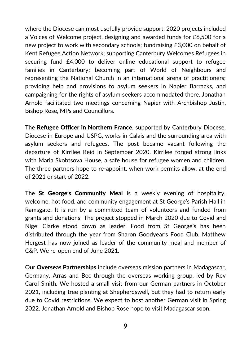where the Diocese can most usefully provide support. 2020 projects included a Voices of Welcome project, designing and awarded funds for £6,500 for a new project to work with secondary schools; fundraising £3,000 on behalf of Kent Refugee Action Network; supporting Canterbury Welcomes Refugees in securing fund £4,000 to deliver online educational support to refugee families in Canterbury; becoming part of World of Neighbours and representing the National Church in an international arena of practitioners; providing help and provisions to asylum seekers in Napier Barracks, and campaigning for the rights of asylum seekers accommodated there. Jonathan Arnold facilitated two meetings concerning Napier with Archbishop Justin, Bishop Rose, MPs and Councillors.

The Refugee Officer in Northern France, supported by Canterbury Diocese, Diocese in Europe and USPG, works in Calais and the surrounding area with asylum seekers and refugees. The post became vacant following the departure of Kirrilee Reid in September 2020. Kirrilee forged strong links with Maria Skobtsova House, a safe house for refugee women and children. The three partners hope to re-appoint, when work permits allow, at the end of 2021 or start of 2022.

The St George's Community Meal is a weekly evening of hospitality, welcome, hot food, and community engagement at St George's Parish Hall in Ramsgate. It is run by a committed team of volunteers and funded from grants and donations. The project stopped in March 2020 due to Covid and Nigel Clarke stood down as leader. Food from St George's has been distributed through the year from Sharon Goodyear's Food Club. Matthew Hergest has now joined as leader of the community meal and member of C&P. We re-open end of June 2021.

Our Overseas Partnerships include overseas mission partners in Madagascar, Germany, Arras and Bec through the overseas working group, led by Rev Carol Smith. We hosted a small visit from our German partners in October 2021, including tree planting at Shepherdswell, but they had to return early due to Covid restrictions. We expect to host another German visit in Spring 2022. Jonathan Arnold and Bishop Rose hope to visit Madagascar soon.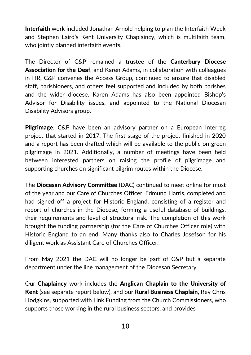Interfaith work included Jonathan Arnold helping to plan the Interfaith Week and Stephen Laird's Kent University Chaplaincy, which is multifaith team, who jointly planned interfaith events.

The Director of C&P remained a trustee of the **Canterbury Diocese Association for the Deaf,** and Karen Adams, in collaboration with colleagues in HR, C&P convenes the Access Group, continued to ensure that disabled staff, parishioners, and others feel supported and included by both parishes and the wider diocese. Karen Adams has also been appointed Bishop's Advisor for Disability issues, and appointed to the National Diocesan Disability Advisors group.

Pilgrimage: C&P have been an advisory partner on a European Interreg project that started in 2017. The first stage of the project finished in 2020 and a report has been drafted which will be available to the public on green pilgrimage in 2021. Additionally, a number of meetings have been held between interested partners on raising the profile of pilgrimage and supporting churches on significant pilgrim routes within the Diocese.

The Diocesan Advisory Committee (DAC) continued to meet online for most of the year and our Care of Churches Officer, Edmund Harris, completed and had signed off a project for Historic England, consisting of a register and report of churches in the Diocese, forming a useful database of buildings, their requirements and level of structural risk. The completion of this work brought the funding partnership (for the Care of Churches Officer role) with Historic England to an end. Many thanks also to Charles Josefson for his diligent work as Assistant Care of Churches Officer.

From May 2021 the DAC will no longer be part of C&P but a separate department under the line management of the Diocesan Secretary.

Our Chaplaincy work includes the Anglican Chaplain to the University of Kent (see separate report below), and our Rural Business Chaplain, Rev Chris Hodgkins, supported with Link Funding from the Church Commissioners, who supports those working in the rural business sectors, and provides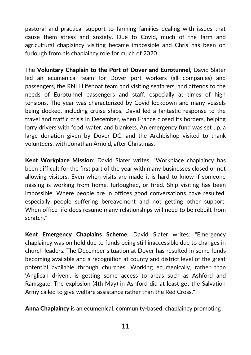pastoral and practical support to farming families dealing with issues that cause them stress and anxiety. Due to Covid, much of the farm and agricultural chaplaincy visiting became impossible and Chris has been on furlough from his chaplaincy role for much of 2020.

The Voluntary Chaplain to the Port of Dover and Eurotunnel, David Slater led an ecumenical team for Dover port workers (all companies) and passengers, the RNLI Lifeboat team and visiting seafarers, and attends to the needs of Eurotunnel passengers and staff, especially at times of high tensions. The year was characterized by Covid lockdown and many vessels being docked, including cruise ships. David led a fantastic response to the travel and traffic crisis in December, when France closed its borders, helping lorry drivers with food, water, and blankets. An emergency fund was set up, a large donation given by Dover DC, and the Archbishop visited to thank volunteers, with Jonathan Arnold, after Christmas.

Kent Workplace Mission: David Slater writes, "Workplace chaplaincy has been difficult for the first part of the year with many businesses closed or not allowing visitors. Even when visits are made it is hard to know if someone missing is working from home, furloughed, or fired. Ship visiting has been impossible. Where people are in offices good conversations have resulted, especially people suffering bereavement and not getting other support. When office life does resume many relationships will need to be rebuilt from scratch."

Kent Emergency Chaplains Scheme: David Slater writes: "Emergency chaplaincy was on hold due to funds being still inaccessible due to changes in church leaders. The December situation at Dover has resulted in some funds becoming available and a recognition at county and district level of the great potential available through churches. Working ecumenically, rather than 'Anglican driven', is getting some access to areas such as Ashford and Ramsgate. The explosion (4th May) in Ashford did at least get the Salvation Army called to give welfare assistance rather than the Red Cross."

Anna Chaplaincy is an ecumenical, community-based, chaplaincy promoting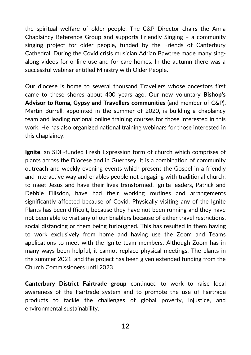the spiritual welfare of older people. The C&P Director chairs the Anna Chaplaincy Reference Group and supports Friendly Singing – a community singing project for older people, funded by the Friends of Canterbury Cathedral. During the Covid crisis musician Adrian Bawtree made many singalong videos for online use and for care homes. In the autumn there was a successful webinar entitled Ministry with Older People.

Our diocese is home to several thousand Travellers whose ancestors first came to these shores about 400 years ago. Our new voluntary Bishop's Advisor to Roma, Gypsy and Travellers communities (and member of C&P), Martin Burrell, appointed in the summer of 2020, is building a chaplaincy team and leading national online training courses for those interested in this work. He has also organized national training webinars for those interested in this chaplaincy.

**Ignite**, an SDF-funded Fresh Expression form of church which comprises of plants across the Diocese and in Guernsey. It is a combination of community outreach and weekly evening events which present the Gospel in a friendly and interactive way and enables people not engaging with traditional church, to meet Jesus and have their lives transformed. Ignite leaders, Patrick and Debbie Ellisdon, have had their working routines and arrangements significantly affected because of Covid. Physically visiting any of the Ignite Plants has been difficult, because they have not been running and they have not been able to visit any of our Enablers because of either travel restrictions, social distancing or them being furloughed. This has resulted in them having to work exclusively from home and having use the Zoom and Teams applications to meet with the Ignite team members. Although Zoom has in many ways been helpful, it cannot replace physical meetings. The plants in the summer 2021, and the project has been given extended funding from the Church Commissioners until 2023.

Canterbury District Fairtrade group continued to work to raise local awareness of the Fairtrade system and to promote the use of Fairtrade products to tackle the challenges of global poverty, injustice, and environmental sustainability.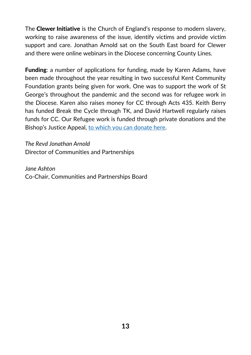The **Clewer Initiative** is the Church of England's response to modern slavery, working to raise awareness of the issue, identify victims and provide victim support and care. Jonathan Arnold sat on the South East board for Clewer and there were online webinars in the Diocese concerning County Lines.

**Funding:** a number of applications for funding, made by Karen Adams, have been made throughout the year resulting in two successful Kent Community Foundation grants being given for work. One was to support the work of St George's throughout the pandemic and the second was for refugee work in the Diocese. Karen also raises money for CC through Acts 435. Keith Berry has funded Break the Cycle through TK, and David Hartwell regularly raises funds for CC. Our Refugee work is funded through private donations and the Bishop's Justice Appeal, to which you can [donate](https://www.canterburydiocese.org/mission/faith-in-action/working-with-refugees/bishops-justice-appeal/) here.

*The Revd Jonathan Arnold* Director of Communities and Partnerships

*Jane Ashton* Co-Chair, Communities and Partnerships Board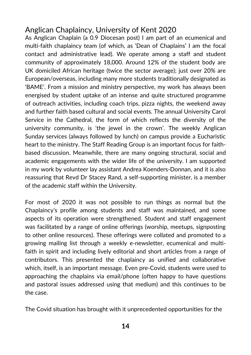## Anglican Chaplaincy, University of Kent 2020

As Anglican Chaplain (a 0.9 Diocesan post) I am part of an ecumenical and multi-faith chaplaincy team (of which, as 'Dean of Chaplains' I am the focal contact and administrative lead). We operate among a staff and student community of approximately 18,000. Around 12% of the student body are UK domiciled African heritage (twice the sector average); just over 20% are European/overseas, including many more students traditionally designated as 'BAME'. From a mission and ministry perspective, my work has always been energised by student uptake of an intense and quite structured programme of outreach activities, including coach trips, pizza nights, the weekend away and further faith based cultural and social events. The annual University Carol Service in the Cathedral, the form of which reflects the diversity of the university community, is 'the jewel in the crown'. The weekly Anglican Sunday services (always followed by lunch) on campus provide a Eucharistic heart to the ministry. The Staff Reading Group is an important focus for faithbased discussion. Meanwhile, there are many ongoing structural, social and academic engagements with the wider life of the university. I am supported in my work by volunteer lay assistant Andrea Koenders-Donnan, and it is also reassuring that Revd Dr Stacey Rand, a self-supporting minister, is a member of the academic staff within the University.

For most of 2020 it was not possible to run things as normal but the Chaplaincy's profile among students and staff was maintained, and some aspects of its operation were strengthened. Student and staff engagement was facilitated by a range of online offerings (worship, meetups, signposting to other online resources). These offerings were collated and promoted to a growing mailing list through a weekly e-newsletter, ecumenical and multifaith in spirit and including lively editorial and short articles from a range of contributors. This presented the chaplaincy as unified and collaborative which, itself, is an important message. Even pre-Covid, students were used to approaching the chaplains via email/phone (often happy to have questions and pastoral issues addressed using that medium) and this continues to be the case.

The Covid situation has brought with it unprecedented opportunities for the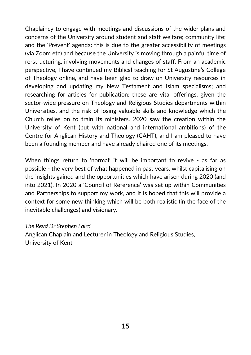Chaplaincy to engage with meetings and discussions of the wider plans and concerns of the University around student and staff welfare; community life; and the 'Prevent' agenda: this is due to the greater accessibility of meetings (via Zoom etc) and because the University is moving through a painful time of re-structuring, involving movements and changes of staff. From an academic perspective, I have continued my Biblical teaching for St Augustine's College of Theology online, and have been glad to draw on University resources in developing and updating my New Testament and Islam specialisms; and researching for articles for publication: these are vital offerings, given the sector-wide pressure on Theology and Religious Studies departments within Universities, and the risk of losing valuable skills and knowledge which the Church relies on to train its ministers. 2020 saw the creation within the University of Kent (but with national and international ambitions) of the Centre for Anglican History and Theology (CAHT), and I am pleased to have been a founding member and have already chaired one of its meetings.

When things return to 'normal' it will be important to revive - as far as possible - the very best of what happened in past years, whilst capitalising on the insights gained and the opportunities which have arisen during 2020 (and into 2021). In 2020 a 'Council of Reference' was set up within Communities and Partnerships to support my work, and it is hoped that this will provide a context for some new thinking which will be both realistic (in the face of the inevitable challenges) and visionary.

#### *The Revd Dr Stephen Laird*

Anglican Chaplain and Lecturer in Theology and Religious Studies, University of Kent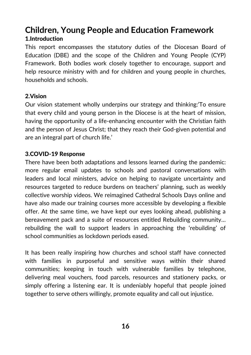## **Children, Young People and Education Framework** 1.Introduction

This report encompasses the statutory duties of the Diocesan Board of Education (DBE) and the scope of the Children and Young People (CYP) Framework. Both bodies work closely together to encourage, support and help resource ministry with and for children and young people in churches, households and schools.

#### 2.Vision

Our vision statement wholly underpins our strategy and thinking:'To ensure that every child and young person in the Diocese is at the heart of mission, having the opportunity of a life-enhancing encounter with the Christian faith and the person of Jesus Christ; that they reach their God-given potential and are an integral part of church life.'

#### 3.COVID-19 Response

There have been both adaptations and lessons learned during the pandemic: more regular email updates to schools and pastoral conversations with leaders and local ministers, advice on helping to navigate uncertainty and resources targeted to reduce burdens on teachers' planning, such as weekly collective worship videos. We reimagined Cathedral Schools Days online and have also made our training courses more accessible by developing a flexible offer. At the same time, we have kept our eyes looking ahead, publishing a bereavement pack and a suite of resources entitled Rebuilding community… rebuilding the wall to support leaders in approaching the 'rebuilding' of school communities as lockdown periods eased.

It has been really inspiring how churches and school staff have connected with families in purposeful and sensitive ways within their shared communities; keeping in touch with vulnerable families by telephone, delivering meal vouchers, food parcels, resources and stationery packs, or simply offering a listening ear. It is undeniably hopeful that people joined together to serve others willingly, promote equality and call out injustice.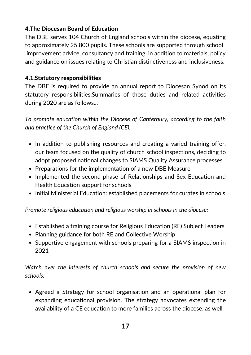#### 4.The Diocesan Board of Education

The DBE serves 104 Church of England schools within the diocese, equating to approximately 25 800 pupils. These schools are supported through school improvement advice, consultancy and training, in addition to materials, policy and guidance on issues relating to Christian distinctiveness and inclusiveness.

#### 4.1.Statutory responsibilities

The DBE is required to provide an annual report to Diocesan Synod on its statutory responsibilities.Summaries of those duties and related activities during 2020 are as follows...

*To promote education within the Diocese of Canterbury, according to the faith and practice of the Church of England (CE):*

- In addition to publishing resources and creating a varied training offer, our team focused on the quality of church school inspections, deciding to adopt proposed national changes to SIAMS Quality Assurance processes
- Preparations for the implementation of a new DBE Measure
- Implemented the second phase of Relationships and Sex Education and Health Education support for schools
- Initial Ministerial Education: established placements for curates in schools

*Promote religious education and religious worship in schools in the diocese:*

- Established a training course for Religious Education (RE) Subject Leaders
- Planning guidance for both RE and Collective Worship
- Supportive engagement with schools preparing for a SIAMS inspection in 2021

*Watch over the interests of church schools and secure the provision of new schools:*

Agreed a Strategy for school organisation and an operational plan for expanding educational provision. The strategy advocates extending the availability of a CE education to more families across the diocese, as well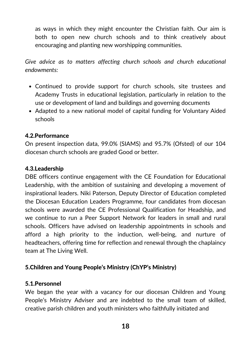as ways in which they might encounter the Christian faith. Our aim is both to open new church schools and to think creatively about encouraging and planting new worshipping communities.

*Give advice as to matters affecting church schools and church educational endowments:*

- Continued to provide support for church schools, site trustees and Academy Trusts in educational legislation, particularly in relation to the use or development of land and buildings and governing documents
- Adapted to a new national model of capital funding for Voluntary Aided schools

#### 4.2.Performance

On present inspection data, 99.0% (SIAMS) and 95.7% (Ofsted) of our 104 diocesan church schools are graded Good or better.

#### 4.3.Leadership

DBE officers continue engagement with the CE Foundation for Educational Leadership, with the ambition of sustaining and developing a movement of inspirational leaders. Niki Paterson, Deputy Director of Education completed the Diocesan Education Leaders Programme, four candidates from diocesan schools were awarded the CE Professional Qualification for Headship, and we continue to run a Peer Support Network for leaders in small and rural schools. Officers have advised on leadership appointments in schools and afford a high priority to the induction, well-being, and nurture of headteachers, offering time for reflection and renewal through the chaplaincy team at The Living Well.

#### 5.Children and Young People's Ministry (ChYP's Ministry)

#### 5.1.Personnel

We began the year with a vacancy for our diocesan Children and Young People's Ministry Adviser and are indebted to the small team of skilled, creative parish children and youth ministers who faithfully initiated and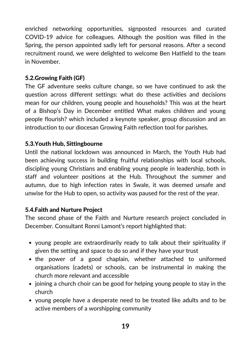enriched networking opportunities, signposted resources and curated COVID-19 advice for colleagues. Although the position was filled in the Spring, the person appointed sadly left for personal reasons. After a second recruitment round, we were delighted to welcome Ben Hatfield to the team in November.

#### 5.2.Growing Faith (GF)

The GF adventure seeks culture change, so we have continued to ask the question across different settings: what do these activities and decisions mean for our children, young people and households? This was at the heart of a Bishop's Day in December entitled What makes children and young people flourish? which included a keynote speaker, group discussion and an introduction to our diocesan Growing Faith reflection tool for parishes.

#### 5.3.Youth Hub, Sittingbourne

Until the national lockdown was announced in March, the Youth Hub had been achieving success in building fruitful relationships with local schools, discipling young Christians and enabling young people in leadership, both in staff and volunteer positions at the Hub. Throughout the summer and autumn, due to high infection rates in Swale, it was deemed unsafe and unwise for the Hub to open, so activity was paused for the rest of the year.

#### 5.4.Faith and Nurture Project

The second phase of the Faith and Nurture research project concluded in December. Consultant Ronni Lamont's report highlighted that:

- young people are extraordinarily ready to talk about their spirituality if given the setting and space to do so and if they have your trust
- the power of a good chaplain, whether attached to uniformed organisations (cadets) or schools, can be instrumental in making the church more relevant and accessible
- joining a church choir can be good for helping young people to stay in the church
- young people have a desperate need to be treated like adults and to be active members of a worshipping community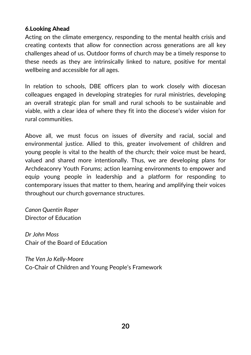#### 6.Looking Ahead

Acting on the climate emergency, responding to the mental health crisis and creating contexts that allow for connection across generations are all key challenges ahead of us. Outdoor forms of church may be a timely response to these needs as they are intrinsically linked to nature, positive for mental wellbeing and accessible for all ages.

In relation to schools, DBE officers plan to work closely with diocesan colleagues engaged in developing strategies for rural ministries, developing an overall strategic plan for small and rural schools to be sustainable and viable, with a clear idea of where they fit into the diocese's wider vision for rural communities.

Above all, we must focus on issues of diversity and racial, social and environmental justice. Allied to this, greater involvement of children and young people is vital to the health of the church; their voice must be heard, valued and shared more intentionally. Thus, we are developing plans for Archdeaconry Youth Forums; action learning environments to empower and equip young people in leadership and a platform for responding to contemporary issues that matter to them, hearing and amplifying their voices throughout our church governance structures.

*Canon Quentin Roper* Director of Education

*Dr John Moss* Chair of the Board of Education

*The Ven Jo Kelly-Moore* Co-Chair of Children and Young People's Framework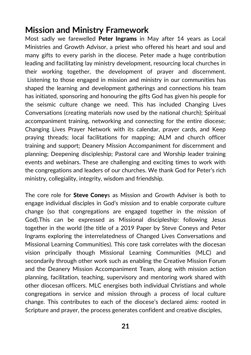## **Mission and Ministry Framework**

Most sadly we farewelled Peter Ingrams in May after 14 years as Local Ministries and Growth Advisor, a priest who offered his heart and soul and many gifts to every parish in the diocese. Peter made a huge contribution leading and facilitating lay ministry development, resourcing local churches in their working together, the development of prayer and discernment. Listening to those engaged in mission and ministry in our communities has shaped the learning and development gatherings and connections his team has initiated, sponsoring and honouring the gifts God has given his people for the seismic culture change we need. This has included Changing Lives Conversations (creating materials now used by the national church); Spiritual accompaniment training, networking and connecting for the entire diocese; Changing Lives Prayer Network with its calendar, prayer cards, and Keep praying threads; local facilitations for mapping; ALM and church officer training and support; Deanery Mission Accompaniment for discernment and planning; Deepening discipleship; Pastoral care and Worship leader training events and webinars. These are challenging and exciting times to work with the congregations and leaders of our churches. We thank God for Peter's rich ministry, collegiality, integrity, wisdom and friendship.

The core role for **Steve Coney**s as Mission and Growth Adviser is both to engage individual disciples in God's mission and to enable corporate culture change (so that congregations are engaged together in the mission of God).This can be expressed as Missional discipleship: following Jesus together in the world (the title of a 2019 Paper by Steve Coneys and Peter Ingrams exploring the interrelatedness of Changed Lives Conversations and Missional Learning Communities). This core task correlates with the diocesan vision principally though Missional Learning Communities (MLC) and secondarily through other work such as enabling the Creative Mission Forum and the Deanery Mission Accompaniment Team, along with mission action planning, facilitation, teaching, supervisory and mentoring work shared with other diocesan officers. MLC energises both individual Christians and whole congregations in service and mission through a process of local culture change. This contributes to each of the diocese's declared aims: rooted in Scripture and prayer, the process generates confident and creative disciples,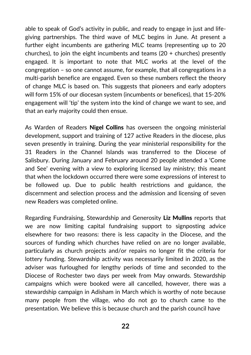able to speak of God's activity in public, and ready to engage in just and lifegiving partnerships. The third wave of MLC begins in June. At present a further eight incumbents are gathering MLC teams (representing up to 20 churches), to join the eight incumbents and teams (20 + churches) presently engaged. It is important to note that MLC works at the level of the congregation – so one cannot assume, for example, that all congregations in a multi-parish benefice are engaged. Even so these numbers reflect the theory of change MLC is based on. This suggests that pioneers and early adopters will form 15% of our diocesan system (incumbents or benefices), that 15-20% engagement will 'tip' the system into the kind of change we want to see, and that an early majority could then ensue.

As Warden of Readers **Nigel Collins** has overseen the ongoing ministerial development, support and training of 127 active Readers in the diocese, plus seven presently in training. During the year ministerial responsibility for the 31 Readers in the Channel Islands was transferred to the Diocese of Salisbury. During January and February around 20 people attended a 'Come and See' evening with a view to exploring licensed lay ministry; this meant that when the lockdown occurred there were some expressions of interest to be followed up. Due to public health restrictions and guidance, the discernment and selection process and the admission and licensing of seven new Readers was completed online.

Regarding Fundraising, Stewardship and Generosity Liz Mullins reports that we are now limiting capital fundraising support to signposting advice elsewhere for two reasons: there is less capacity in the Diocese, and the sources of funding which churches have relied on are no longer available, particularly as church projects and/or repairs no longer fit the criteria for lottery funding. Stewardship activity was necessarily limited in 2020, as the adviser was furloughed for lengthy periods of time and seconded to the Diocese of Rochester two days per week from May onwards. Stewardship campaigns which were booked were all cancelled, however, there was a stewardship campaign in Adisham in March which is worthy of note because many people from the village, who do not go to church came to the presentation. We believe this is because church and the parish council have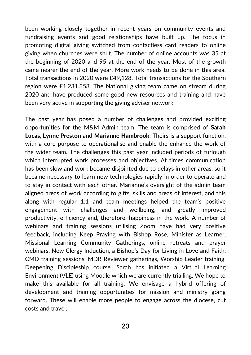been working closely together in recent years on community events and fundraising events and good relationships have built up. The focus in promoting digital giving switched from contactless card readers to online giving when churches were shut. The number of online accounts was 35 at the beginning of 2020 and 95 at the end of the year. Most of the growth came nearer the end of the year. More work needs to be done in this area. Total transactions in 2020 were £49,128. Total transactions for the Southern region were £1,231.358. The National giving team came on stream during 2020 and have produced some good new resources and training and have been very active in supporting the giving adviser network.

The past year has posed a number of challenges and provided exciting opportunities for the M&M Admin team. The team is comprised of Sarah Lucas, Lynne Preston and Marianne Hambrook. Theirs is a support function, with a core purpose to operationalise and enable the enhance the work of the wider team. The challenges this past year included periods of furlough which interrupted work processes and objectives. At times communication has been slow and work became disjointed due to delays in other areas, so it became necessary to learn new technologies rapidly in order to operate and to stay in contact with each other. Marianne's oversight of the admin team aligned areas of work according to gifts, skills and areas of interest, and this along with regular 1:1 and team meetings helped the team's positive engagement with challenges and wellbeing, and greatly improved productivity, efficiency and, therefore, happiness in the work. A number of webinars and training sessions utilising Zoom have had very positive feedback, including Keep Praying with Bishop Rose, Minister as Learner, Missional Learning Community Gatherings, online retreats and prayer webinars, New Clergy Induction, a Bishop's Day for Living in Love and Faith, CMD training sessions, MDR Reviewer gatherings, Worship Leader training, Deepening Discipleship course. Sarah has initiated a Virtual Learning Environment (VLE) using Moodle which we are currently trialling. We hope to make this available for all training. We envisage a hybrid offering of development and training opportunities for mission and ministry going forward. These will enable more people to engage across the diocese, cut costs and travel.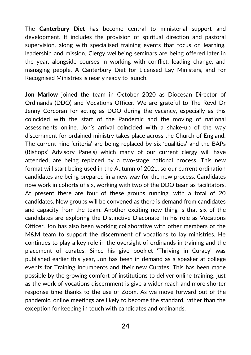The **Canterbury Diet** has become central to ministerial support and development. It includes the provision of spiritual direction and pastoral supervision, along with specialised training events that focus on learning, leadership and mission. Clergy wellbeing seminars are being offered later in the year, alongside courses in working with conflict, leading change, and managing people. A Canterbury Diet for Licensed Lay Ministers, and for Recognised Ministries is nearly ready to launch.

Jon Marlow joined the team in October 2020 as Diocesan Director of Ordinands (DDO) and Vocations Officer. We are grateful to The Revd Dr Jenny Corcoran for acting as DOO during the vacancy, especially as this coincided with the start of the Pandemic and the moving of national assessments online. Jon's arrival coincided with a shake-up of the way discernment for ordained ministry takes place across the Church of England. The current nine 'criteria' are being replaced by six 'qualities' and the BAPs (Bishops' Advisory Panels) which many of our current clergy will have attended, are being replaced by a two-stage national process. This new format will start being used in the Autumn of 2021, so our current ordination candidates are being prepared in a new way for the new process. Candidates now work in cohorts of six, working with two of the DDO team as facilitators. At present there are four of these groups running, with a total of 20 candidates. New groups will be convened as there is demand from candidates and capacity from the team. Another exciting new thing is that six of the candidates are exploring the Distinctive Diaconate. In his role as Vocations Officer, Jon has also been working collaborative with other members of the M&M team to support the discernment of vocations to lay ministries. He continues to play a key role in the oversight of ordinands in training and the placement of curates. Since his give booklet 'Thriving in Curacy' was published earlier this year, Jon has been in demand as a speaker at college events for Training Incumbents and their new Curates. This has been made possible by the growing comfort of institutions to deliver online training, just as the work of vocations discernment is give a wider reach and more shorter response time thanks to the use of Zoom. As we move forward out of the pandemic, online meetings are likely to become the standard, rather than the exception for keeping in touch with candidates and ordinands.